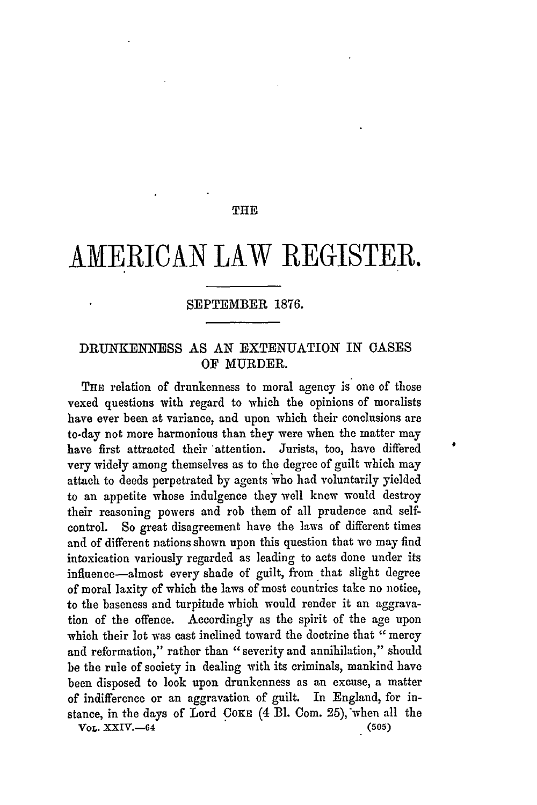### THE

# **AMERICAN** LAW REGISTER.

#### SEPTEMBER 1876.

## DRUNKENNESS AS AN EXTENUATION IN CASES OF MURDER.

THE relation of drunkenness to moral agency is one of those vexed questions with regard to which the opinions of moralists have ever been at variance, and upon which their conclusions are to-day not more harmonious than they were when the matter may have first attracted their attention. Jurists, too, have differed very widely among themselves as to the degree of guilt which may attach to deeds perpetrated by agents who **had** voluntarily yielded to an appetite whose indulgence they well knew would destroy their reasoning powers and rob them of all prudence and selfcontrol. So great disagreement have the laws of different times and of different nations shown upon this question that **we** may find intoxication variously regarded as leading to acts done under its influence-almost every shade of guilt, from that slight degree of moral laxity of which the laws of most countries take no notice, to the baseness and turpitude which would render it an aggravation of the offence. Accordingly as the spirit of the age upon which their lot was cast inclined toward the doctrine that "mercy and reformation," rather than "severity and annihilation," should be the rule of society in dealing with its criminals, mankind have been disposed to look upon drunkenness as an excuse, a matter of indifference or an aggravation of guilt. In England, for instance, in the days of Lord COKE (4 Bl. Com. 25),'when all the **VoL.** XXIV.-64 **(505)**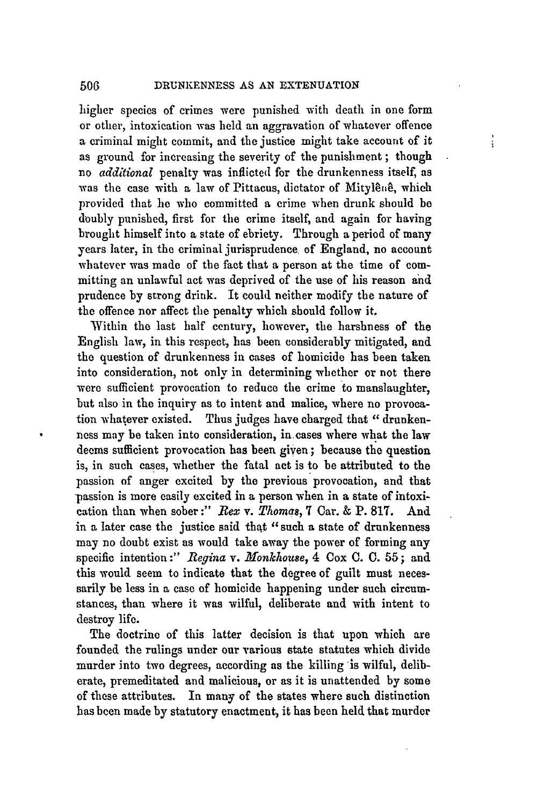higher species of crimes were punished with death in one form or other, intoxication was held an aggravation of whatever offence a criminal might commit, and the justice might take account of it as ground for increasing the severity of the punishment ; though no *additional* penalty was inflicted for the drunkenness itself, as was the case with a law of Pittacus, dictator of Mitylênê, which provided that lie who committed **a** crime when drunk should be doubly punished, first for the crime itself, and again for having brought himself into a state of ebriety. Through a period of many years later, in the criminal jurisprudence of England, no account whatever was made of the fact that a person at the time of committing an unlawful act was deprived of the use of his reason and prudence by strong drink. It could neither modify the nature of the offence nor affect the penalty which should follow it.

÷

Within the last half century, however, the harshness of the English law, in this respect, has been considerably mitigated, and the question of drunkenness in cases of homicide has been taken into consideration, not only in determining whether or not there were sufficient provocation to reduce the crime to manslaughter, but also in the inquiry as to intent and malice, where no provocation whatever existed. Thus judges have charged that "drunkenness may be taken into consideration, in cases where what the law deems sufficient provocation has been given; because the question is, in such cases, whether the fatal act is to be attributed to the passion of anger excited by the previous provocation, and that passion is more easily excited in a person when in a state of intoxication than when sober :" *Rex* v. *Thomas,* 7 Car. & P. 817. And in a later case the justice said that "such a state of drunkenness may no doubt exist as would take away the power of forming any specific intention :" Regina *v. Monkhouse,* 4 Cox **0. C.** 55; and this would seem to indicate that the degree of guilt must necessarily be less in a case of homicide happening under such circumstances, than where it was wilful, deliberate and with intent to destroy life.

The doctrine of this latter decision is that upon which are founded the rulings under our various state statutes which divide murder into two degrees, according as the killing is wilful, deliberate, premeditated and malicious, or as it is unattended by some of these attributes. In many of the states where such distinction has been made by statutory enactment, it has been held that murder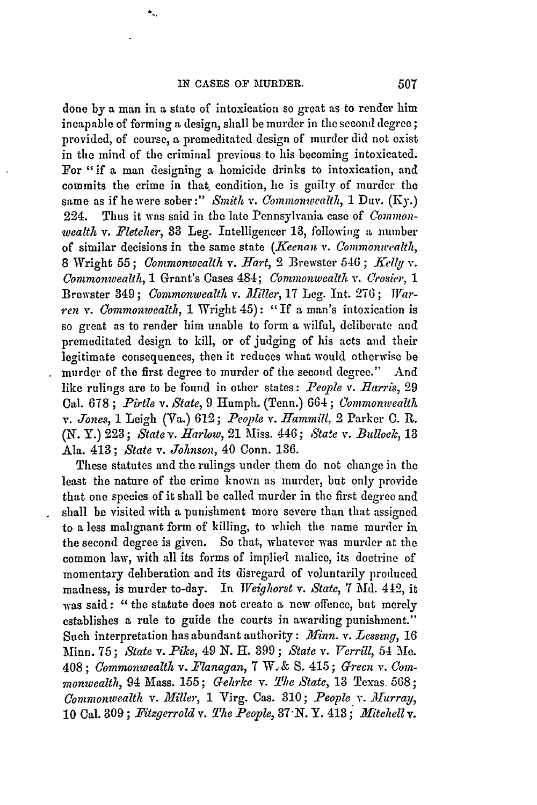done by a man in a state of intoxication so great as to render him incapable of forming **a** design, shall be murder in the second degree; provided, of course, a premeditated design of murder did not exist in the mind of the criminal previous to his becoming intoxicated. For "if a man designing **a** homicide drinks to intoxication, and commits the crime in that condition, he is guilty of murder the same as if he were sober:" *Smith v. Commonwealth*, 1 Duv. (Ky.) 224. Thus it was said in the late Pennsylvania ease of *Commonwealth v. Fletcher,* 38 Leg. Intelligencer **13,** following a number of similar decisions in the same state *(Ifeenan v. Commonwealth,* 8 Wright 55; *Commonwealth v. Hart,* 2 Brewster 546; *ffellj* v. *Commonwealth, 1 Grant's Cases 484; Commonwealth v. Crosier, 1* Brewster 349; *Commonwealth v. Miller,* 17 Leg. Int. **276** ; *Warren v. commonwealth, I* Wright 45): "If a man's intoxication is so great as to render him unable to form a wilful, deliberate and premeditated design to kill, or of judging of his acts and their legitimate consequences, then it reduces what would otherwise be murder of the first degree to murder of the second degree." And like rulings are to be found in other states: *People v. Rarris,* **29** Cal. 678 ; *Pirtle v. State,* 9 Humph. (Tenn.) 664; *Commonwealth v. Jones,* 1 Leigh (Va.) 612; *People* v. *H1ammill,* 2 Parker **C.** R. (N. Y.) 223; *State v. Harlow,* 21 Miss. 446; *State v. Bullock,* 13 Ala. 413; *State v. Johnson,* 40 Conn. 136.

These statutes and the rulings under them do not change in the least the nature of the crime known as murder, but only provide that one species of it shall be called murder in the first degree and shall **be** visited with a punishment more severe than that assigned to a less malignant form of killing, to which the name murder in the second degree is given. So that, whatever was murder at the common law, with all its forms of implied malice, its doctrine of momentary deliberation and its disregard of voluntarily produced madness, is murder to-day. In *Ifeighorst v. State,* 7 **Md.** 412, it was said: **" the** statute does not create a new offence, but merely establishes a rule to guide the courts in awarding punishment." Such interpretation has abundant authority: Minn. v. Lessing, 16 Minn. 75; *State v. Pike,* 49 N. **H.** 899 ; *State v. Mrerrill,* 54 Me. 408; *Commonwealth v. Flanagan,* **7** W..& **S.** 415; *Green v. Gommonwealth,* 94 Mass. 155; *Gehrke v. The State,* 13 Texas. 568; *Commonwealth v. Miller, 1 Virg. Cas. 310; People v. Murray,* 10 Cal. 309; *Fitzgerrold v. The People,* **37"N.** Y. 413; *Mitchellv.*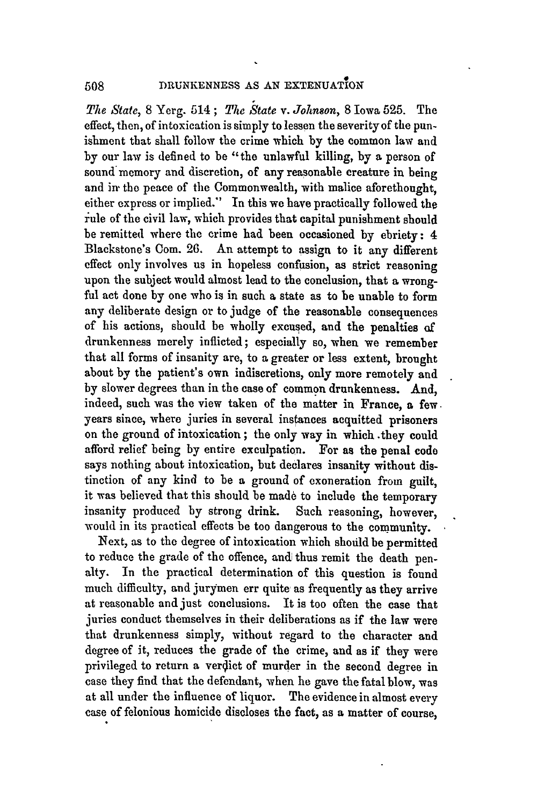*The State,* 8 Yerg. 514 **;** *The State v. Johnson,* **8** Iowa **525.** The effect, then, of intoxication is simply to lessen the severity of the punishment that shall follow the crime which by the common law and **by** our law is defined to be "the unlawful killing, **by** a person of sound memory and discretion, of any reasonable creature in being and in' the peace of the Commonwealth, with malice aforethought, either express or implied." In this we have practically followed the rule of the civil law, which provides that capital punishment should be remitted where the crime had been occasioned by ebriety: 4 Blackstone's Com. **26.** An attempt to assign to it any different effect only involves us in hopeless confusion, as strict reasoning upon the subject would almost lead to the conclusion, that a wrongful act done by one who is in such a state as to be unable to form any deliberate design or to judge of the reasonable consequences of his actions, should be wholly excused, and the penalties of drunkenness merely inflicted; especially so, when we remember that all forms of insanity are, to a greater or less extent, brought about **by** the patient's own indiscretions, only more remotely and by slower degrees than in the case of common drunkenness. And, indeed, such was the view taken of the matter in France, **a** few. years since, where juries in several instances acquitted prisoners on the ground of intoxication; the only way in which .they could afford relief being by entire exculpation. For as the penal code says nothing about intoxication, but declares insanity without distinction of any kind to be a ground of exoneration from guilt, it was believed that this should be made to include the temporary insanity produced by strong drink. Such reasoning, however, would in its practical effects be too dangerous to the community.

Next, as to the degree of intoxication which should be permitted to reduce the grade of the offence, and thus remit the death penalty. In the practical determination of this question is found much difficulty, and jurymen err quite as frequently as they arrive at reasonable and just conclusions. It is too often the case that juries conduct themselves in their deliberations as if the law were that drunkenness simply, without regard to the character and degree of it, reduces the grade of the crime, and as if they were privileged to return a verdict of murder in the second degree in case they find that the defendant, when he gave the fatal blow, was at all under the influence of liquor. The evidence in almost every case of felonious homicide discloses the fact, as a matter of course,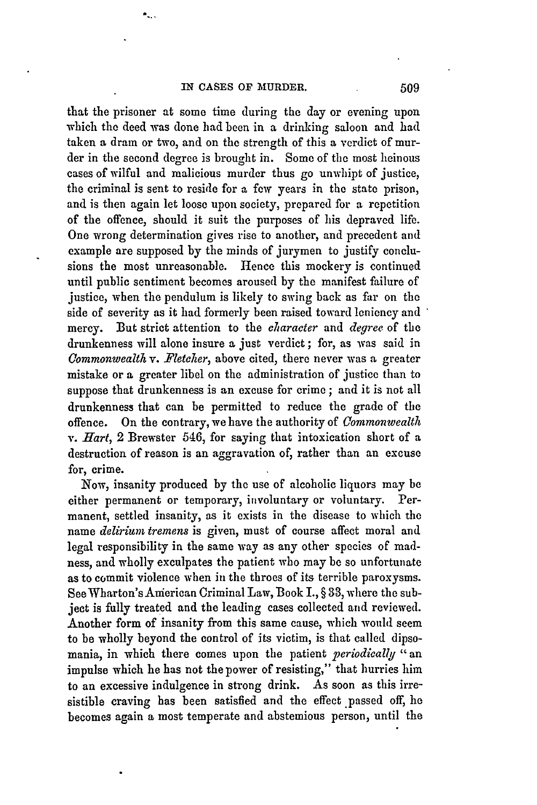#### **IN CASES OF MURDER.** 509

that the prisoner at some time during the day or evening upon which the deed was done had been in a drinking saloon and had taken a dram or two, and on the strength of this a verdict of murder in the second degree is brought in. Some of the most heinous cases of wilful and malicious murder thus go unwhipt of justice, the criminal is sent to reside for a few years in the state prison, and is then again let loose upon society, prepared for **a** repetition of the offence, should it suit the purposes of his depraved life. One wrong determination gives rise to another, and precedent and example are supposed by the minds of jurymen to justify conclusions the most unreasonable. Hence this mockery is continued until public sentiment becomes aroused by the manifest failure of justice, when the pendulum is likely to swing back as far on the side of severity as it had formerly been raised toward leniency and mercy. But strict attention to the *character* and *degree* of the drunkenness will alone insure a just verdict; for, as was said in *Commonwealth* v. *Fletcher*, above cited, there never was a greater mistake or a greater libel on the administration of justice than to suppose that drunkenness is an excuse for crime; and it is not all drunkenness that can be permitted to reduce the grade of the offence. On the contrary, we have the authority of *Commonwealth v. Hart,* 2 Brewster 546, for saying that intoxication short of **a** destruction of reason is an aggravation of, rather than an excuse for, crime.

Now, insanity produced by the use of alcoholic liquors may be either permanent or temporary, involuntary or voluntary. Permanent, settled insanity, as it exists in the disease to which the name *delirium tremens* is given, must of course affect moral and legal responsibility in the same way as any other species of madness, and wholly exculpates the patient who may be so unfortunate as to commit violence when in the throes of its terrible paroxysms. See Wharton's Anerican Criminal Law, Book I., § 33, where the subject is fully treated and the leading eases collected and reviewed. Another form of insanity from this same cause, which would seem to be wholly beyond the control of its victim, is that called dipsomania, in which there comes upon the patient *periodically* "an impulse which he has not the power of resisting," that hurries him to an excessive indulgence in strong drink. As soon as this irresistible craving has been satisfied and the effect passed off, he becomes again a most temperate and abstemious person, until the